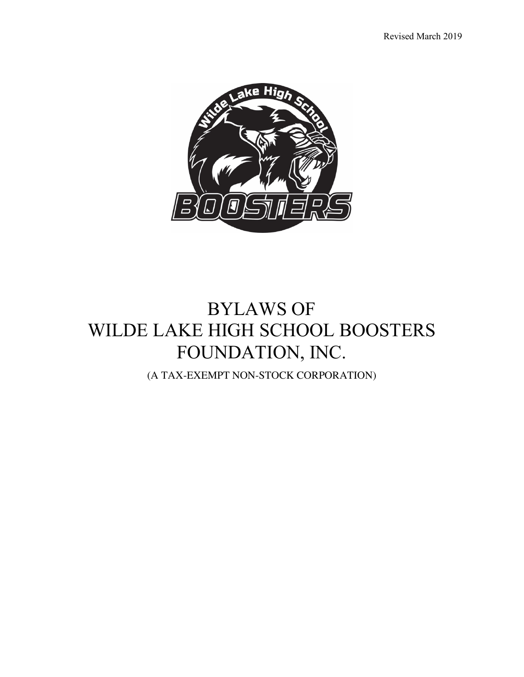

# BYLAWS OF WILDE LAKE HIGH SCHOOL BOOSTERS FOUNDATION, INC.

(A TAX-EXEMPT NON-STOCK CORPORATION)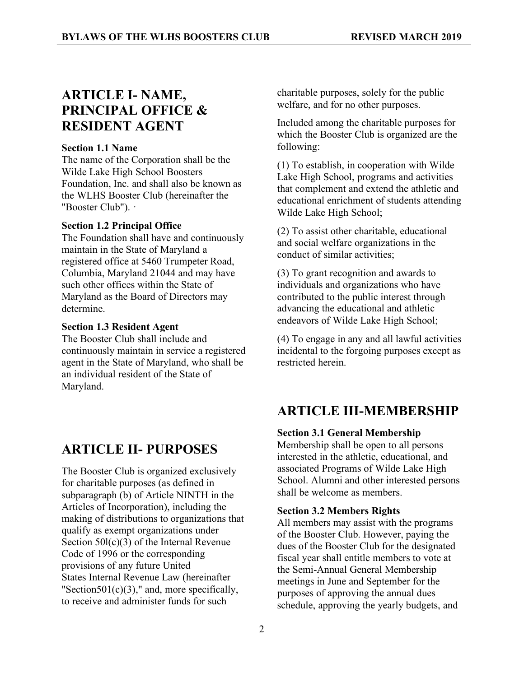# **ARTICLE I- NAME, PRINCIPAL OFFICE & RESIDENT AGENT**

#### **Section 1.1 Name**

The name of the Corporation shall be the Wilde Lake High School Boosters Foundation, Inc. and shall also be known as the WLHS Booster Club (hereinafter the "Booster Club"). ·

#### **Section 1.2 Principal Office**

The Foundation shall have and continuously maintain in the State of Maryland a registered office at 5460 Trumpeter Road, Columbia, Maryland 21044 and may have such other offices within the State of Maryland as the Board of Directors may determine.

#### **Section 1.3 Resident Agent**

The Booster Club shall include and continuously maintain in service a registered agent in the State of Maryland, who shall be an individual resident of the State of Maryland.

### **ARTICLE II- PURPOSES**

The Booster Club is organized exclusively for charitable purposes (as defined in subparagraph (b) of Article NINTH in the Articles of Incorporation), including the making of distributions to organizations that qualify as exempt organizations under Section 50l(c)(3) of the Internal Revenue Code of 1996 or the corresponding provisions of any future United States Internal Revenue Law (hereinafter "Section501(c)(3)," and, more specifically, to receive and administer funds for such

charitable purposes, solely for the public welfare, and for no other purposes.

Included among the charitable purposes for which the Booster Club is organized are the following:

(1) To establish, in cooperation with Wilde Lake High School, programs and activities that complement and extend the athletic and educational enrichment of students attending Wilde Lake High School;

(2) To assist other charitable, educational and social welfare organizations in the conduct of similar activities;

(3) To grant recognition and awards to individuals and organizations who have contributed to the public interest through advancing the educational and athletic endeavors of Wilde Lake High School;

(4) To engage in any and all lawful activities incidental to the forgoing purposes except as restricted herein.

### **ARTICLE III-MEMBERSHIP**

#### **Section 3.1 General Membership**

Membership shall be open to all persons interested in the athletic, educational, and associated Programs of Wilde Lake High School. Alumni and other interested persons shall be welcome as members.

#### **Section 3.2 Members Rights**

All members may assist with the programs of the Booster Club. However, paying the dues of the Booster Club for the designated fiscal year shall entitle members to vote at the Semi-Annual General Membership meetings in June and September for the purposes of approving the annual dues schedule, approving the yearly budgets, and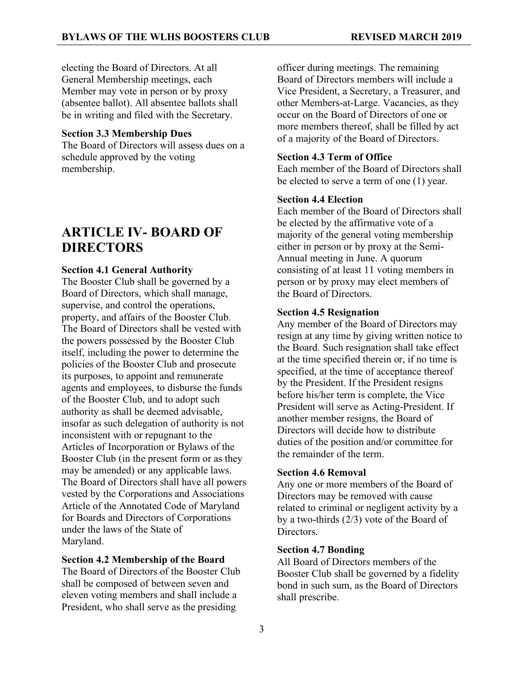electing the Board of Directors. At all General Membership meetings, each Member may vote in person or by proxy (absentee ballot). All absentee ballots shall be in writing and filed with the Secretary.

#### **Section 3.3 Membership Dues**

The Board of Directors will assess dues on a schedule approved by the voting membership.

### **ARTICLE IV- BOARD OF DIRECTORS**

#### **Section 4.1 General Authority**

The Booster Club shall be governed by a Board of Directors, which shall manage, supervise, and control the operations, property, and affairs of the Booster Club. The Board of Directors shall be vested with the powers possessed by the Booster Club itself, including the power to determine the policies of the Booster Club and prosecute its purposes, to appoint and remunerate agents and employees, to disburse the funds of the Booster Club, and to adopt such authority as shall be deemed advisable, insofar as such delegation of authority is not inconsistent with or repugnant to the Articles of Incorporation or Bylaws of the Booster Club (in the present form or as they may be amended) or any applicable laws. The Board of Directors shall have all powers vested by the Corporations and Associations Article of the Annotated Code of Maryland for Boards and Directors of Corporations under the laws of the State of Maryland.

#### **Section 4.2 Membership of the Board**

The Board of Directors of the Booster Club shall be composed of between seven and eleven voting members and shall include a President, who shall serve as the presiding

officer during meetings. The remaining Board of Directors members will include a Vice President, a Secretary, a Treasurer, and other Members-at-Large. Vacancies, as they occur on the Board of Directors of one or more members thereof, shall be filled by act of a majority of the Board of Directors.

#### **Section 4.3 Term of Office**

Each member of the Board of Directors shall be elected to serve a term of one (1) year.

#### **Section 4.4 Election**

Each member of the Board of Directors shall be elected by the affirmative vote of a majority of the general voting membership either in person or by proxy at the Semi-Annual meeting in June. A quorum consisting of at least 11 voting members in person or by proxy may elect members of the Board of Directors.

#### **Section 4.5 Resignation**

Any member of the Board of Directors may resign at any time by giving written notice to the Board. Such resignation shall take effect at the time specified therein or, if no time is specified, at the time of acceptance thereof by the President. If the President resigns before his/her term is complete, the Vice President will serve as Acting-President. If another member resigns, the Board of Directors will decide how to distribute duties of the position and/or committee for the remainder of the term.

#### **Section 4.6 Removal**

Any one or more members of the Board of Directors may be removed with cause related to criminal or negligent activity by a by a two-thirds (2/3) vote of the Board of Directors.

#### **Section 4.7 Bonding**

All Board of Directors members of the Booster Club shall be governed by a fidelity bond in such sum, as the Board of Directors shall prescribe.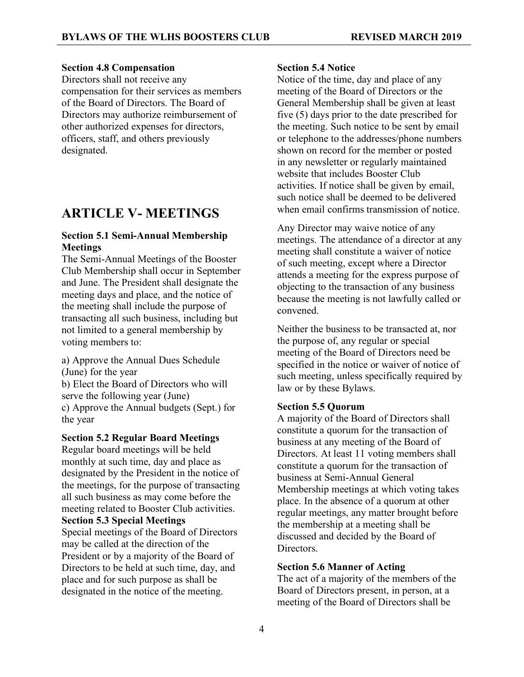#### **Section 4.8 Compensation**

Directors shall not receive any compensation for their services as members of the Board of Directors. The Board of Directors may authorize reimbursement of other authorized expenses for directors, officers, staff, and others previously designated.

### **ARTICLE V- MEETINGS**

#### **Section 5.1 Semi-Annual Membership Meetings**

The Semi-Annual Meetings of the Booster Club Membership shall occur in September and June. The President shall designate the meeting days and place, and the notice of the meeting shall include the purpose of transacting all such business, including but not limited to a general membership by voting members to:

a) Approve the Annual Dues Schedule (June) for the year b) Elect the Board of Directors who will serve the following year (June) c) Approve the Annual budgets (Sept.) for the year

#### **Section 5.2 Regular Board Meetings**

Regular board meetings will be held monthly at such time, day and place as designated by the President in the notice of the meetings, for the purpose of transacting all such business as may come before the meeting related to Booster Club activities.

#### **Section 5.3 Special Meetings**

Special meetings of the Board of Directors may be called at the direction of the President or by a majority of the Board of Directors to be held at such time, day, and place and for such purpose as shall be designated in the notice of the meeting.

#### **Section 5.4 Notice**

Notice of the time, day and place of any meeting of the Board of Directors or the General Membership shall be given at least five (5) days prior to the date prescribed for the meeting. Such notice to be sent by email or telephone to the addresses/phone numbers shown on record for the member or posted in any newsletter or regularly maintained website that includes Booster Club activities. If notice shall be given by email, such notice shall be deemed to be delivered when email confirms transmission of notice.

Any Director may waive notice of any meetings. The attendance of a director at any meeting shall constitute a waiver of notice of such meeting, except where a Director attends a meeting for the express purpose of objecting to the transaction of any business because the meeting is not lawfully called or convened.

Neither the business to be transacted at, nor the purpose of, any regular or special meeting of the Board of Directors need be specified in the notice or waiver of notice of such meeting, unless specifically required by law or by these Bylaws.

#### **Section 5.5 Quorum**

A majority of the Board of Directors shall constitute a quorum for the transaction of business at any meeting of the Board of Directors. At least 11 voting members shall constitute a quorum for the transaction of business at Semi-Annual General Membership meetings at which voting takes place. In the absence of a quorum at other regular meetings, any matter brought before the membership at a meeting shall be discussed and decided by the Board of **Directors** 

#### **Section 5.6 Manner of Acting**

The act of a majority of the members of the Board of Directors present, in person, at a meeting of the Board of Directors shall be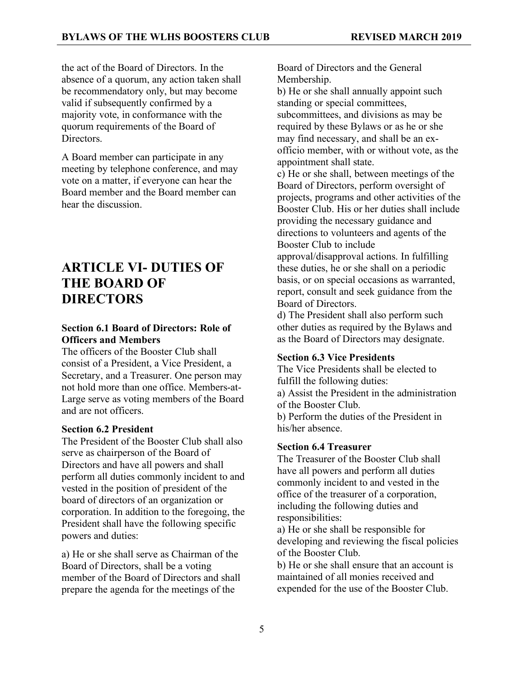the act of the Board of Directors. In the absence of a quorum, any action taken shall be recommendatory only, but may become valid if subsequently confirmed by a majority vote, in conformance with the quorum requirements of the Board of **Directors** 

A Board member can participate in any meeting by telephone conference, and may vote on a matter, if everyone can hear the Board member and the Board member can hear the discussion.

# **ARTICLE VI- DUTIES OF THE BOARD OF DIRECTORS**

#### **Section 6.1 Board of Directors: Role of Officers and Members**

The officers of the Booster Club shall consist of a President, a Vice President, a Secretary, and a Treasurer. One person may not hold more than one office. Members-at-Large serve as voting members of the Board and are not officers.

#### **Section 6.2 President**

The President of the Booster Club shall also serve as chairperson of the Board of Directors and have all powers and shall perform all duties commonly incident to and vested in the position of president of the board of directors of an organization or corporation. In addition to the foregoing, the President shall have the following specific powers and duties:

a) He or she shall serve as Chairman of the Board of Directors, shall be a voting member of the Board of Directors and shall prepare the agenda for the meetings of the

Board of Directors and the General Membership.

b) He or she shall annually appoint such standing or special committees, subcommittees, and divisions as may be required by these Bylaws or as he or she may find necessary, and shall be an exofficio member, with or without vote, as the appointment shall state.

c) He or she shall, between meetings of the Board of Directors, perform oversight of projects, programs and other activities of the Booster Club. His or her duties shall include providing the necessary guidance and directions to volunteers and agents of the Booster Club to include

approval/disapproval actions. In fulfilling these duties, he or she shall on a periodic basis, or on special occasions as warranted, report, consult and seek guidance from the Board of Directors.

d) The President shall also perform such other duties as required by the Bylaws and as the Board of Directors may designate.

#### **Section 6.3 Vice Presidents**

The Vice Presidents shall be elected to fulfill the following duties:

a) Assist the President in the administration of the Booster Club.

b) Perform the duties of the President in his/her absence.

#### **Section 6.4 Treasurer**

The Treasurer of the Booster Club shall have all powers and perform all duties commonly incident to and vested in the office of the treasurer of a corporation, including the following duties and responsibilities:

a) He or she shall be responsible for developing and reviewing the fiscal policies of the Booster Club.

b) He or she shall ensure that an account is maintained of all monies received and expended for the use of the Booster Club.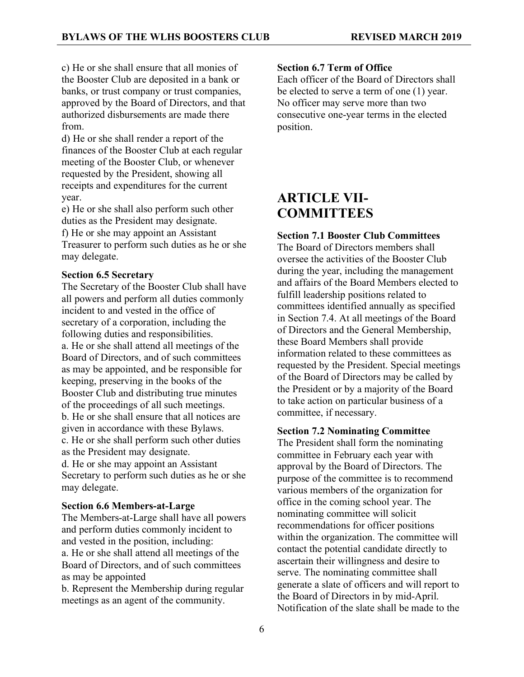c) He or she shall ensure that all monies of the Booster Club are deposited in a bank or banks, or trust company or trust companies, approved by the Board of Directors, and that authorized disbursements are made there from.

d) He or she shall render a report of the finances of the Booster Club at each regular meeting of the Booster Club, or whenever requested by the President, showing all receipts and expenditures for the current year.

e) He or she shall also perform such other duties as the President may designate. f) He or she may appoint an Assistant Treasurer to perform such duties as he or she may delegate.

#### **Section 6.5 Secretary**

The Secretary of the Booster Club shall have all powers and perform all duties commonly incident to and vested in the office of secretary of a corporation, including the following duties and responsibilities. a. He or she shall attend all meetings of the Board of Directors, and of such committees as may be appointed, and be responsible for keeping, preserving in the books of the Booster Club and distributing true minutes of the proceedings of all such meetings. b. He or she shall ensure that all notices are given in accordance with these Bylaws. c. He or she shall perform such other duties as the President may designate.

d. He or she may appoint an Assistant Secretary to perform such duties as he or she may delegate.

#### **Section 6.6 Members-at-Large**

The Members-at-Large shall have all powers and perform duties commonly incident to and vested in the position, including: a. He or she shall attend all meetings of the Board of Directors, and of such committees as may be appointed

b. Represent the Membership during regular meetings as an agent of the community.

#### **Section 6.7 Term of Office**

Each officer of the Board of Directors shall be elected to serve a term of one (1) year. No officer may serve more than two consecutive one-year terms in the elected position.

### **ARTICLE VII-COMMITTEES**

#### **Section 7.1 Booster Club Committees**

The Board of Directors members shall oversee the activities of the Booster Club during the year, including the management and affairs of the Board Members elected to fulfill leadership positions related to committees identified annually as specified in Section 7.4. At all meetings of the Board of Directors and the General Membership, these Board Members shall provide information related to these committees as requested by the President. Special meetings of the Board of Directors may be called by the President or by a majority of the Board to take action on particular business of a committee, if necessary.

#### **Section 7.2 Nominating Committee**

The President shall form the nominating committee in February each year with approval by the Board of Directors. The purpose of the committee is to recommend various members of the organization for office in the coming school year. The nominating committee will solicit recommendations for officer positions within the organization. The committee will contact the potential candidate directly to ascertain their willingness and desire to serve. The nominating committee shall generate a slate of officers and will report to the Board of Directors in by mid-April. Notification of the slate shall be made to the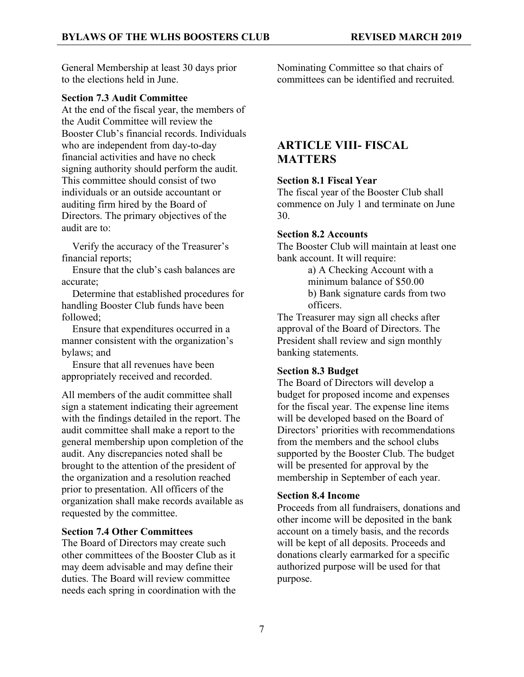General Membership at least 30 days prior to the elections held in June.

#### **Section 7.3 Audit Committee**

At the end of the fiscal year, the members of the Audit Committee will review the Booster Club's financial records. Individuals who are independent from day-to-day financial activities and have no check signing authority should perform the audit. This committee should consist of two individuals or an outside accountant or auditing firm hired by the Board of Directors. The primary objectives of the audit are to:

 Verify the accuracy of the Treasurer's financial reports;

 Ensure that the club's cash balances are accurate;

 Determine that established procedures for handling Booster Club funds have been followed;

 Ensure that expenditures occurred in a manner consistent with the organization's bylaws; and

 Ensure that all revenues have been appropriately received and recorded.

All members of the audit committee shall sign a statement indicating their agreement with the findings detailed in the report. The audit committee shall make a report to the general membership upon completion of the audit. Any discrepancies noted shall be brought to the attention of the president of the organization and a resolution reached prior to presentation. All officers of the organization shall make records available as requested by the committee.

#### **Section 7.4 Other Committees**

The Board of Directors may create such other committees of the Booster Club as it may deem advisable and may define their duties. The Board will review committee needs each spring in coordination with the Nominating Committee so that chairs of committees can be identified and recruited.

### **ARTICLE VIII- FISCAL MATTERS**

#### **Section 8.1 Fiscal Year**

The fiscal year of the Booster Club shall commence on July 1 and terminate on June 30.

#### **Section 8.2 Accounts**

The Booster Club will maintain at least one bank account. It will require:

> a) A Checking Account with a minimum balance of \$50.00 b) Bank signature cards from two officers.

The Treasurer may sign all checks after approval of the Board of Directors. The President shall review and sign monthly banking statements.

#### **Section 8.3 Budget**

The Board of Directors will develop a budget for proposed income and expenses for the fiscal year. The expense line items will be developed based on the Board of Directors' priorities with recommendations from the members and the school clubs supported by the Booster Club. The budget will be presented for approval by the membership in September of each year.

#### **Section 8.4 Income**

Proceeds from all fundraisers, donations and other income will be deposited in the bank account on a timely basis, and the records will be kept of all deposits. Proceeds and donations clearly earmarked for a specific authorized purpose will be used for that purpose.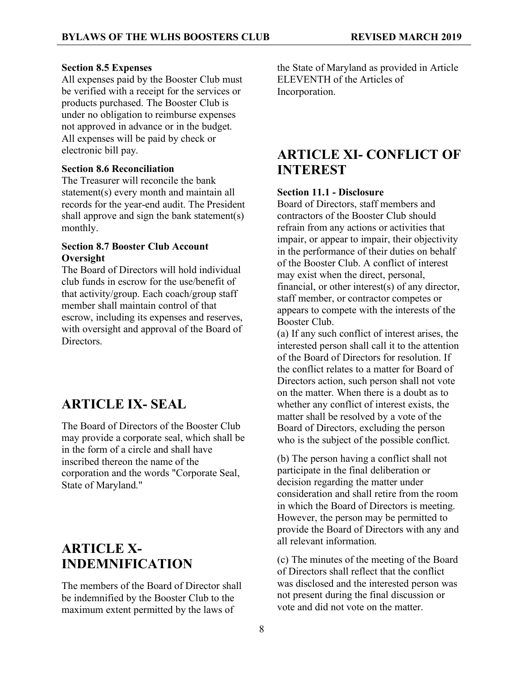#### **Section 8.5 Expenses**

All expenses paid by the Booster Club must be verified with a receipt for the services or products purchased. The Booster Club is under no obligation to reimburse expenses not approved in advance or in the budget. All expenses will be paid by check or electronic bill pay.

#### **Section 8.6 Reconciliation**

The Treasurer will reconcile the bank statement(s) every month and maintain all records for the year-end audit. The President shall approve and sign the bank statement(s) monthly.

#### **Section 8.7 Booster Club Account Oversight**

The Board of Directors will hold individual club funds in escrow for the use/benefit of that activity/group. Each coach/group staff member shall maintain control of that escrow, including its expenses and reserves, with oversight and approval of the Board of **Directors** 

### **ARTICLE IX- SEAL**

The Board of Directors of the Booster Club may provide a corporate seal, which shall be in the form of a circle and shall have inscribed thereon the name of the corporation and the words "Corporate Seal, State of Maryland."

# **ARTICLE X-INDEMNIFICATION**

The members of the Board of Director shall be indemnified by the Booster Club to the maximum extent permitted by the laws of

the State of Maryland as provided in Article ELEVENTH of the Articles of Incorporation.

### **ARTICLE XI- CONFLICT OF INTEREST**

#### **Section 11.1 - Disclosure**

Board of Directors, staff members and contractors of the Booster Club should refrain from any actions or activities that impair, or appear to impair, their objectivity in the performance of their duties on behalf of the Booster Club. A conflict of interest may exist when the direct, personal, financial, or other interest(s) of any director, staff member, or contractor competes or appears to compete with the interests of the Booster Club.

(a) If any such conflict of interest arises, the interested person shall call it to the attention of the Board of Directors for resolution. If the conflict relates to a matter for Board of Directors action, such person shall not vote on the matter. When there is a doubt as to whether any conflict of interest exists, the matter shall be resolved by a vote of the Board of Directors, excluding the person who is the subject of the possible conflict.

(b) The person having a conflict shall not participate in the final deliberation or decision regarding the matter under consideration and shall retire from the room in which the Board of Directors is meeting. However, the person may be permitted to provide the Board of Directors with any and all relevant information.

(c) The minutes of the meeting of the Board of Directors shall reflect that the conflict was disclosed and the interested person was not present during the final discussion or vote and did not vote on the matter.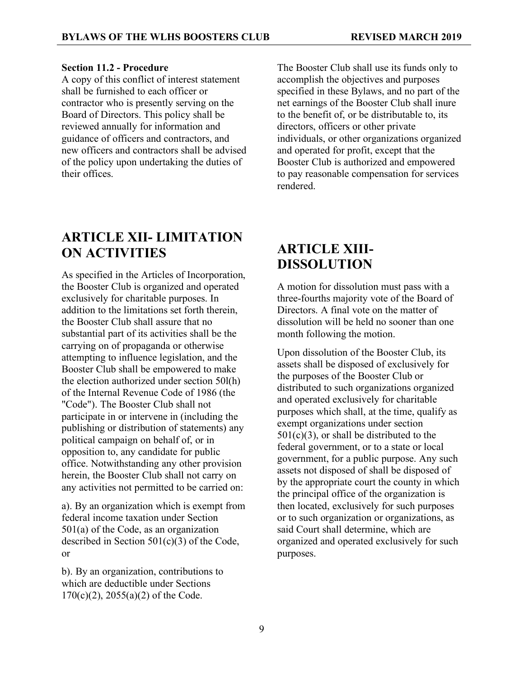#### **Section 11.2 - Procedure**

A copy of this conflict of interest statement shall be furnished to each officer or contractor who is presently serving on the Board of Directors. This policy shall be reviewed annually for information and guidance of officers and contractors, and new officers and contractors shall be advised of the policy upon undertaking the duties of their offices.

#### The Booster Club shall use its funds only to accomplish the objectives and purposes specified in these Bylaws, and no part of the net earnings of the Booster Club shall inure to the benefit of, or be distributable to, its directors, officers or other private individuals, or other organizations organized and operated for profit, except that the Booster Club is authorized and empowered to pay reasonable compensation for services rendered.

# **ARTICLE XII- LIMITATION ON ACTIVITIES**

As specified in the Articles of Incorporation, the Booster Club is organized and operated exclusively for charitable purposes. In addition to the limitations set forth therein, the Booster Club shall assure that no substantial part of its activities shall be the carrying on of propaganda or otherwise attempting to influence legislation, and the Booster Club shall be empowered to make the election authorized under section 50l(h) of the Internal Revenue Code of 1986 (the "Code"). The Booster Club shall not participate in or intervene in (including the publishing or distribution of statements) any political campaign on behalf of, or in opposition to, any candidate for public office. Notwithstanding any other provision herein, the Booster Club shall not carry on any activities not permitted to be carried on:

a). By an organization which is exempt from federal income taxation under Section 501(a) of the Code, as an organization described in Section 501(c)(3) of the Code, or

b). By an organization, contributions to which are deductible under Sections  $170(c)(2)$ ,  $2055(a)(2)$  of the Code.

# **ARTICLE XIII-DISSOLUTION**

A motion for dissolution must pass with a three-fourths majority vote of the Board of Directors. A final vote on the matter of dissolution will be held no sooner than one month following the motion.

Upon dissolution of the Booster Club, its assets shall be disposed of exclusively for the purposes of the Booster Club or distributed to such organizations organized and operated exclusively for charitable purposes which shall, at the time, qualify as exempt organizations under section  $501(c)(3)$ , or shall be distributed to the federal government, or to a state or local government, for a public purpose. Any such assets not disposed of shall be disposed of by the appropriate court the county in which the principal office of the organization is then located, exclusively for such purposes or to such organization or organizations, as said Court shall determine, which are organized and operated exclusively for such purposes.